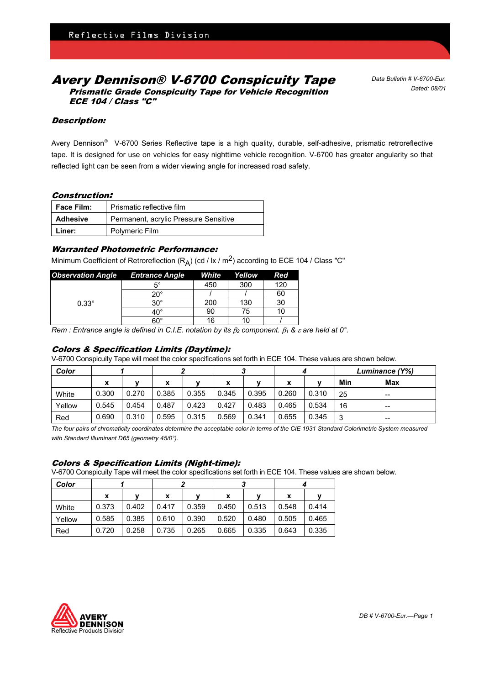# Avery Dennison® V-6700 Conspicuity Tape Prismatic Grade Conspicuity Tape for Vehicle Recognition ECE 104 / Class "C"

*Data Bulletin # V-6700-Eur. Dated: 08/01*

# Description:

Avery Dennison<sup>®</sup> V-6700 Series Reflective tape is a high quality, durable, self-adhesive, prismatic retroreflective tape. It is designed for use on vehicles for easy nighttime vehicle recognition. V-6700 has greater angularity so that reflected light can be seen from a wider viewing angle for increased road safety.

# Construction:

| <b>Face Film:</b> | Prismatic reflective film             |  |  |  |  |
|-------------------|---------------------------------------|--|--|--|--|
| Adhesive          | Permanent, acrylic Pressure Sensitive |  |  |  |  |
| Liner:            | Polymeric Film                        |  |  |  |  |

# Warranted Photometric Performance:

Minimum Coefficient of Retroreflection  $(R_A)$  (cd / lx / m<sup>2</sup>) according to ECE 104 / Class "C"

| <b>Observation Angle</b> | <b>Entrance Angle</b> | White | Yellow | Red |
|--------------------------|-----------------------|-------|--------|-----|
|                          | 5°                    | 450   | 300    | 120 |
| $0.33^\circ$             | $20^{\circ}$          |       |        | 60  |
|                          | $30^{\circ}$          | 200   | 130    | 30  |
|                          | $40^\circ$            | 90    | 75     |     |
|                          | 60°                   | 16    | 10     |     |

*Rem : Entrance angle is defined in C.I.E. notation by its*  $β_2$  *component.*  $β_1$  *&*  $ε$  *are held at 0°.* 

# Colors & Specification Limits (Daytime):

V-6700 Conspicuity Tape will meet the color specifications set forth in ECE 104. These values are shown below.

| Color  |       |       |       |       |       |       |       |       | Luminance (Y%) |     |
|--------|-------|-------|-------|-------|-------|-------|-------|-------|----------------|-----|
|        | х     |       | x     |       | x     |       | х     |       | Min            | Max |
| White  | 0.300 | 0.270 | 0.385 | 0.355 | 0.345 | 0.395 | 0.260 | 0.310 | 25             | --  |
| Yellow | 0.545 | 0.454 | 0.487 | 0.423 | 0.427 | 0.483 | 0.465 | 0.534 | 16             | --  |
| Red    | 0.690 | 0.310 | 0.595 | 0.315 | 0.569 | 0.341 | 0.655 | 0.345 | 3              | --  |

*The four pairs of chromaticity coordinates determine the acceptable color in terms of the CIE 1931 Standard Colorimetric System measured with Standard Illuminant D65 (geometry 45/0°).*

#### Colors & Specification Limits (Night-time):

V-6700 Conspicuity Tape will meet the color specifications set forth in ECE 104. These values are shown below.

| Color  |       |       |       |       |       |       |       |       |  |
|--------|-------|-------|-------|-------|-------|-------|-------|-------|--|
|        | x     |       | x     |       | x     |       | x     |       |  |
| White  | 0.373 | 0.402 | 0.417 | 0.359 | 0.450 | 0.513 | 0.548 | 0.414 |  |
| Yellow | 0.585 | 0.385 | 0.610 | 0.390 | 0.520 | 0.480 | 0.505 | 0.465 |  |
| Red    | 0.720 | 0.258 | 0.735 | 0.265 | 0.665 | 0.335 | 0.643 | 0.335 |  |